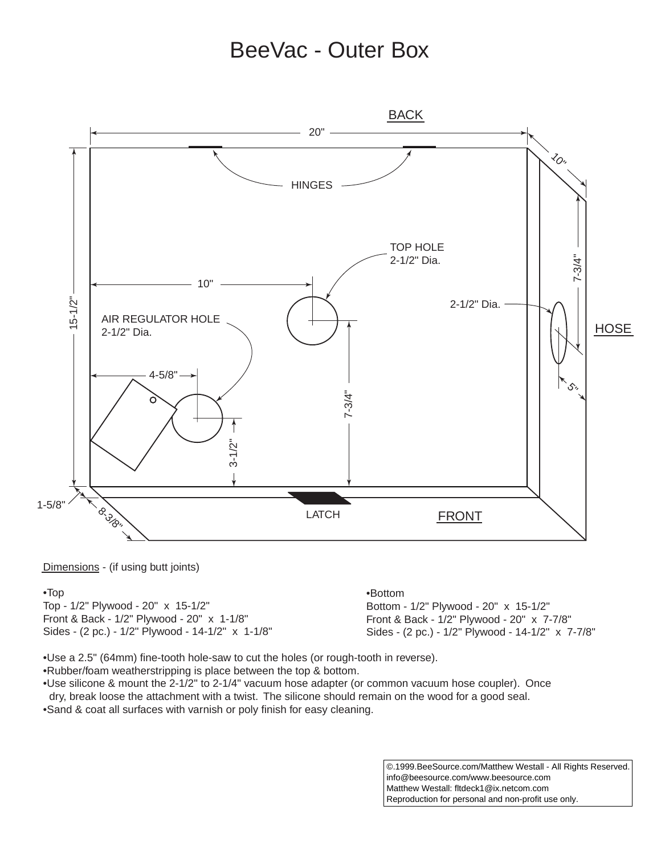## BeeVac - Outer Box



Dimensions - (if using butt joints)

### •Top

Top - 1/2" Plywood - 20" x 15-1/2" Front & Back - 1/2" Plywood - 20" x 1-1/8" Sides - (2 pc.) - 1/2" Plywood - 14-1/2" x 1-1/8" •Bottom

Bottom - 1/2" Plywood - 20" x 15-1/2" Front & Back - 1/2" Plywood - 20" x 7-7/8" Sides - (2 pc.) - 1/2" Plywood - 14-1/2" x 7-7/8"

•Use a 2.5" (64mm) fine-tooth hole-saw to cut the holes (or rough-tooth in reverse).

•Rubber/foam weatherstripping is place between the top & bottom.

•Use silicone & mount the 2-1/2" to 2-1/4" vacuum hose adapter (or common vacuum hose coupler). Once dry, break loose the attachment with a twist. The silicone should remain on the wood for a good seal. •Sand & coat all surfaces with varnish or poly finish for easy cleaning.

> ©.1999.BeeSource.com/Matthew Westall - All Rights Reserved. info@beesource.com/www.beesource.com Matthew Westall: fltdeck1@ix.netcom.com Reproduction for personal and non-profit use only.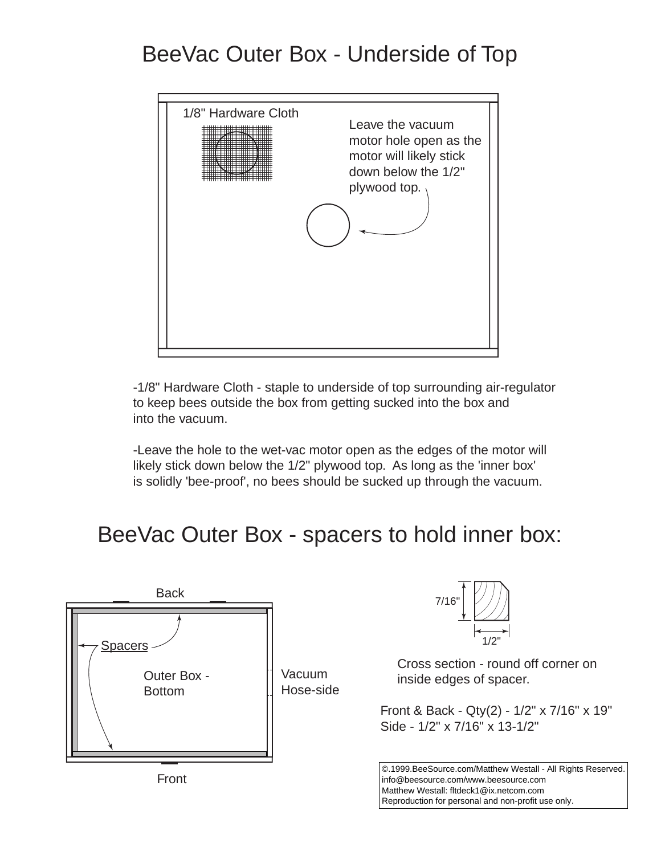# BeeVac Outer Box - Underside of Top



-1/8" Hardware Cloth - staple to underside of top surrounding air-regulator to keep bees outside the box from getting sucked into the box and into the vacuum.

-Leave the hole to the wet-vac motor open as the edges of the motor will likely stick down below the 1/2" plywood top. As long as the 'inner box' is solidly 'bee-proof', no bees should be sucked up through the vacuum.

# BeeVac Outer Box - spacers to hold inner box:

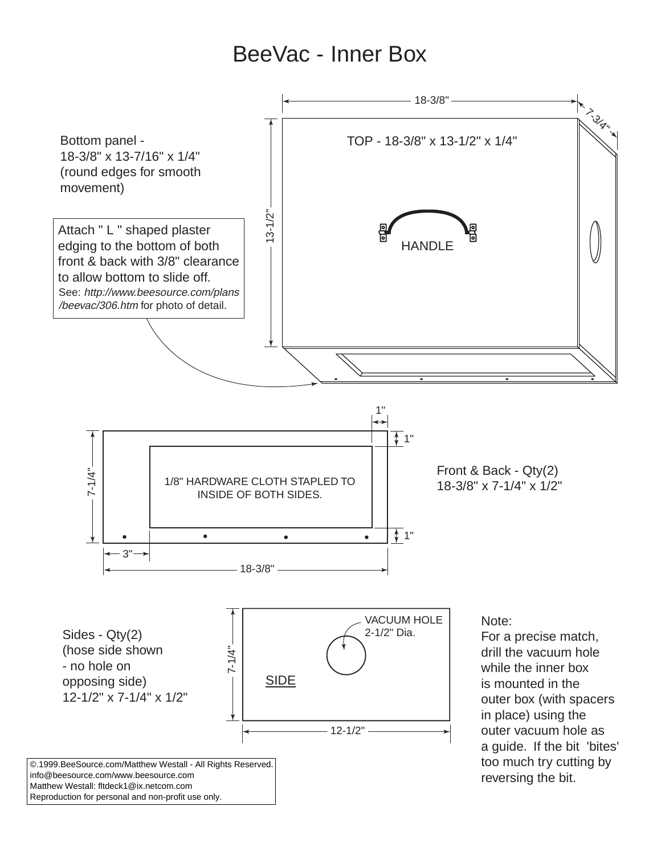## BeeVac - Inner Box



Reproduction for personal and non-profit use only.